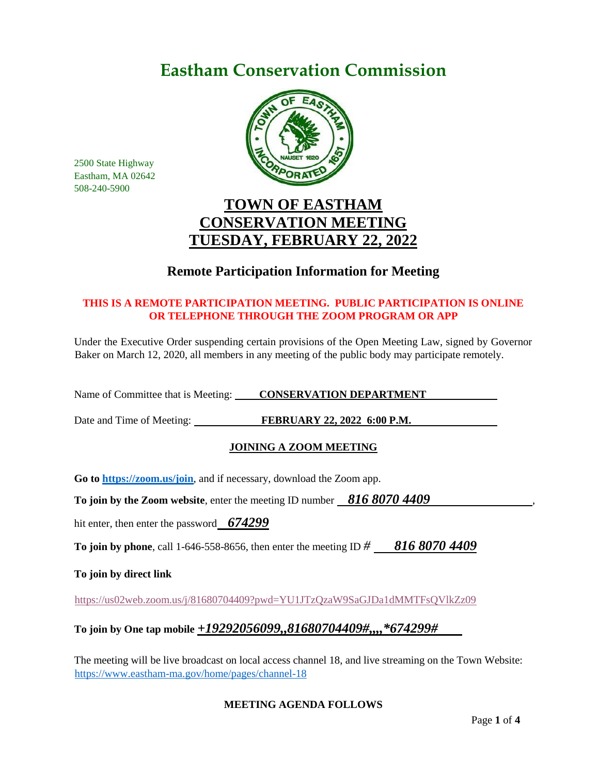# **Eastham Conservation Commission**



2500 State Highway Eastham, MA 02642 508-240-5900

## **TOWN OF EASTHAM CONSERVATION MEETING TUESDAY, FEBRUARY 22, 2022**

## **Remote Participation Information for Meeting**

## **THIS IS A REMOTE PARTICIPATION MEETING. PUBLIC PARTICIPATION IS ONLINE OR TELEPHONE THROUGH THE ZOOM PROGRAM OR APP**

Under the Executive Order suspending certain provisions of the Open Meeting Law, signed by Governor Baker on March 12, 2020, all members in any meeting of the public body may participate remotely.

Name of Committee that is Meeting: **CONSERVATION DEPARTMENT** 

Date and Time of Meeting: **FEBRUARY 22, 2022 6:00 P.M.** 

## **JOINING A ZOOM MEETING**

**Go to<https://zoom.us/join>**, and if necessary, download the Zoom app.

**To join by the Zoom website, enter the meeting ID number 816 8070 4409** 

hit enter, then enter the password *674299*

**To join by phone**, call 1-646-558-8656, then enter the meeting ID *# 816 8070 4409*

**To join by direct link**

<https://us02web.zoom.us/j/81680704409?pwd=YU1JTzQzaW9SaGJDa1dMMTFsQVlkZz09>

## **To join by One tap mobile** *+19292056099,,81680704409#,,,,\*674299#*

The meeting will be live broadcast on local access channel 18, and live streaming on the Town Website: <https://www.eastham-ma.gov/home/pages/channel-18>

#### **MEETING AGENDA FOLLOWS**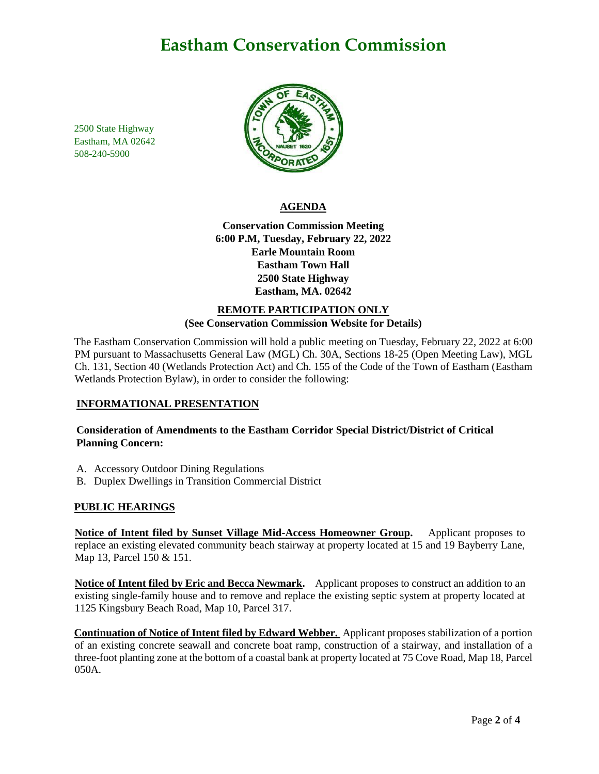## **Eastham Conservation Commission**

2500 State Highway Eastham, MA 02642 508-240-5900



#### **AGENDA**

**Conservation Commission Meeting 6:00 P.M, Tuesday, February 22, 2022 Earle Mountain Room Eastham Town Hall 2500 State Highway Eastham, MA. 02642**

#### **REMOTE PARTICIPATION ONLY (See Conservation Commission Website for Details)**

The Eastham Conservation Commission will hold a public meeting on Tuesday, February 22, 2022 at 6:00 PM pursuant to Massachusetts General Law (MGL) Ch. 30A, Sections 18-25 (Open Meeting Law), MGL Ch. 131, Section 40 (Wetlands Protection Act) and Ch. 155 of the Code of the Town of Eastham (Eastham Wetlands Protection Bylaw), in order to consider the following:

#### **INFORMATIONAL PRESENTATION**

**Consideration of Amendments to the Eastham Corridor Special District/District of Critical Planning Concern:**

- A. Accessory Outdoor Dining Regulations
- B. Duplex Dwellings in Transition Commercial District

#### **PUBLIC HEARINGS**

**Notice of Intent filed by Sunset Village Mid-Access Homeowner Group.** Applicant proposes to replace an existing elevated community beach stairway at property located at 15 and 19 Bayberry Lane, Map 13, Parcel 150 & 151.

**Notice of Intent filed by Eric and Becca Newmark.** Applicant proposes to construct an addition to an existing single-family house and to remove and replace the existing septic system at property located at 1125 Kingsbury Beach Road, Map 10, Parcel 317.

**Continuation of Notice of Intent filed by Edward Webber.** Applicant proposes stabilization of a portion of an existing concrete seawall and concrete boat ramp, construction of a stairway, and installation of a three-foot planting zone at the bottom of a coastal bank at property located at 75 Cove Road, Map 18, Parcel 050A.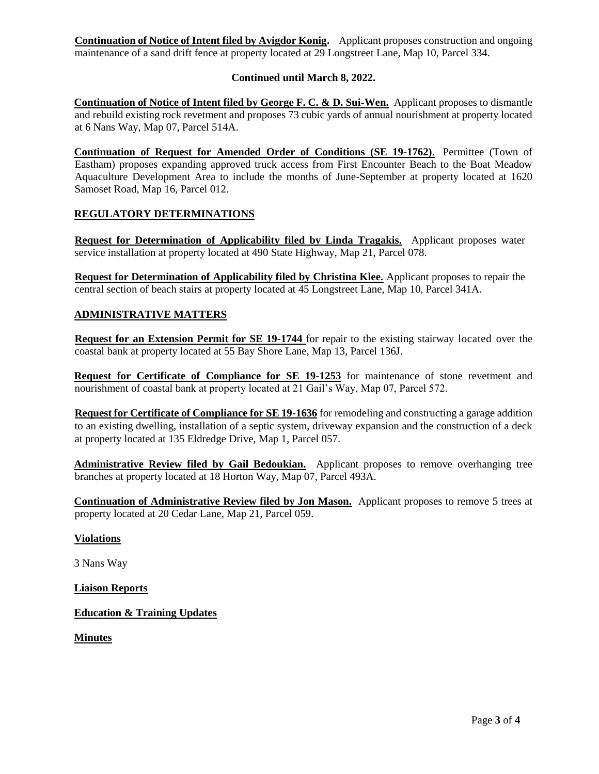**Continuation of Notice of Intent filed by Avigdor Konig.** Applicant proposes construction and ongoing maintenance of a sand drift fence at property located at 29 Longstreet Lane, Map 10, Parcel 334.

#### **Continued until March 8, 2022.**

**Continuation of Notice of Intent filed by George F. C. & D. Sui-Wen.** Applicant proposes to dismantle and rebuild existing rock revetment and proposes 73 cubic yards of annual nourishment at property located at 6 Nans Way, Map 07, Parcel 514A.

**Continuation of Request for Amended Order of Conditions (SE 19-1762)**. Permittee (Town of Eastham) proposes expanding approved truck access from First Encounter Beach to the Boat Meadow Aquaculture Development Area to include the months of June-September at property located at 1620 Samoset Road, Map 16, Parcel 012.

#### **REGULATORY DETERMINATIONS**

**Request for Determination of Applicability filed by Linda Tragakis.** Applicant proposes water service installation at property located at 490 State Highway, Map 21, Parcel 078.

**Request for Determination of Applicability filed by Christina Klee.** Applicant proposes to repair the central section of beach stairs at property located at 45 Longstreet Lane, Map 10, Parcel 341A.

#### **ADMINISTRATIVE MATTERS**

**Request for an Extension Permit for SE 19-1744** for repair to the existing stairway located over the coastal bank at property located at 55 Bay Shore Lane, Map 13, Parcel 136J.

**Request for Certificate of Compliance for SE 19-1253** for maintenance of stone revetment and nourishment of coastal bank at property located at 21 Gail's Way, Map 07, Parcel 572.

**Request for Certificate of Compliance for SE 19-1636** for remodeling and constructing a garage addition to an existing dwelling, installation of a septic system, driveway expansion and the construction of a deck at property located at 135 Eldredge Drive, Map 1, Parcel 057.

**Administrative Review filed by Gail Bedoukian.** Applicant proposes to remove overhanging tree branches at property located at 18 Horton Way, Map 07, Parcel 493A.

**Continuation of Administrative Review filed by Jon Mason.** Applicant proposes to remove 5 trees at property located at 20 Cedar Lane, Map 21, Parcel 059.

#### **Violations**

3 Nans Way

**Liaison Reports**

**Education & Training Updates** 

**Minutes**